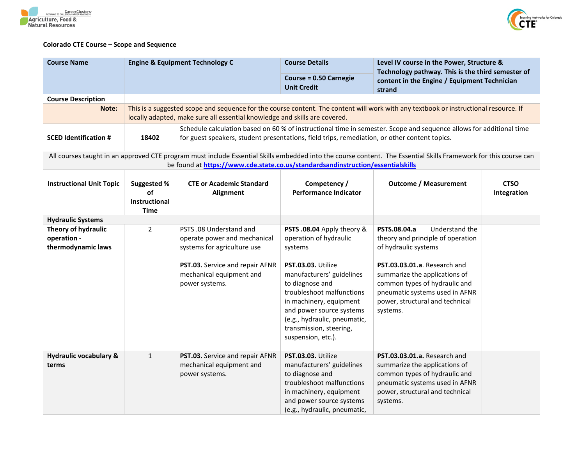



## **Colorado CTE Course – Scope and Sequence**

| <b>Course Name</b>                                       |                                                                 | <b>Engine &amp; Equipment Technology C</b>                                                                                                                                                                           | <b>Course Details</b>                                                                                                                                                                                                                                                                                      | Level IV course in the Power, Structure &<br>Technology pathway. This is the third semester of                                                                                                                                                                                 |                            |  |  |
|----------------------------------------------------------|-----------------------------------------------------------------|----------------------------------------------------------------------------------------------------------------------------------------------------------------------------------------------------------------------|------------------------------------------------------------------------------------------------------------------------------------------------------------------------------------------------------------------------------------------------------------------------------------------------------------|--------------------------------------------------------------------------------------------------------------------------------------------------------------------------------------------------------------------------------------------------------------------------------|----------------------------|--|--|
|                                                          |                                                                 |                                                                                                                                                                                                                      | Course = 0.50 Carnegie<br><b>Unit Credit</b>                                                                                                                                                                                                                                                               | content in the Engine / Equipment Technician<br>strand                                                                                                                                                                                                                         |                            |  |  |
| <b>Course Description</b>                                |                                                                 |                                                                                                                                                                                                                      |                                                                                                                                                                                                                                                                                                            |                                                                                                                                                                                                                                                                                |                            |  |  |
| Note:                                                    |                                                                 | This is a suggested scope and sequence for the course content. The content will work with any textbook or instructional resource. If<br>locally adapted, make sure all essential knowledge and skills are covered.   |                                                                                                                                                                                                                                                                                                            |                                                                                                                                                                                                                                                                                |                            |  |  |
| <b>SCED Identification #</b>                             | 18402                                                           | Schedule calculation based on 60 % of instructional time in semester. Scope and sequence allows for additional time<br>for guest speakers, student presentations, field trips, remediation, or other content topics. |                                                                                                                                                                                                                                                                                                            |                                                                                                                                                                                                                                                                                |                            |  |  |
|                                                          |                                                                 | be found at https://www.cde.state.co.us/standardsandinstruction/essentialskills                                                                                                                                      |                                                                                                                                                                                                                                                                                                            | All courses taught in an approved CTE program must include Essential Skills embedded into the course content. The Essential Skills Framework for this course can                                                                                                               |                            |  |  |
| <b>Instructional Unit Topic</b>                          | <b>Suggested %</b><br>of<br><b>Instructional</b><br><b>Time</b> | <b>CTE or Academic Standard</b><br>Alignment                                                                                                                                                                         | Competency /<br><b>Performance Indicator</b>                                                                                                                                                                                                                                                               | <b>Outcome / Measurement</b>                                                                                                                                                                                                                                                   | <b>CTSO</b><br>Integration |  |  |
| <b>Hydraulic Systems</b>                                 |                                                                 |                                                                                                                                                                                                                      |                                                                                                                                                                                                                                                                                                            |                                                                                                                                                                                                                                                                                |                            |  |  |
| Theory of hydraulic<br>operation -<br>thermodynamic laws | $\overline{2}$                                                  | PSTS .08 Understand and<br>operate power and mechanical<br>systems for agriculture use<br>PST.03. Service and repair AFNR<br>mechanical equipment and<br>power systems.                                              | PSTS .08.04 Apply theory &<br>operation of hydraulic<br>systems<br>PST.03.03. Utilize<br>manufacturers' guidelines<br>to diagnose and<br>troubleshoot malfunctions<br>in machinery, equipment<br>and power source systems<br>(e.g., hydraulic, pneumatic,<br>transmission, steering,<br>suspension, etc.). | Understand the<br>PSTS.08.04.a<br>theory and principle of operation<br>of hydraulic systems<br>PST.03.03.01.a. Research and<br>summarize the applications of<br>common types of hydraulic and<br>pneumatic systems used in AFNR<br>power, structural and technical<br>systems. |                            |  |  |
| <b>Hydraulic vocabulary &amp;</b><br>terms               | $\mathbf{1}$                                                    | PST.03. Service and repair AFNR<br>mechanical equipment and<br>power systems.                                                                                                                                        | PST.03.03. Utilize<br>manufacturers' guidelines<br>to diagnose and<br>troubleshoot malfunctions<br>in machinery, equipment<br>and power source systems<br>(e.g., hydraulic, pneumatic,                                                                                                                     | PST.03.03.01.a. Research and<br>summarize the applications of<br>common types of hydraulic and<br>pneumatic systems used in AFNR<br>power, structural and technical<br>systems.                                                                                                |                            |  |  |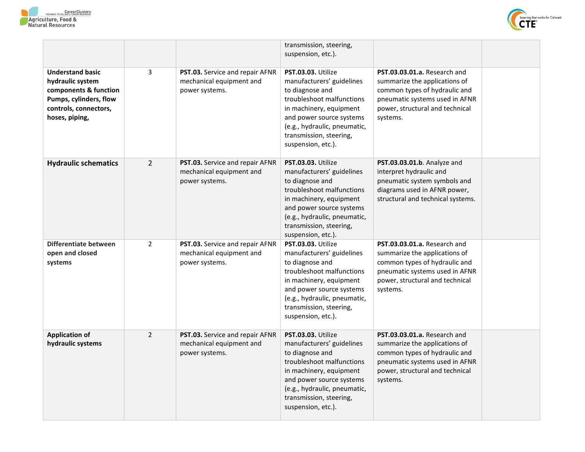



|                                                                                                                                           |                |                                                                               | transmission, steering,<br>suspension, etc.).                                                                                                                                                                                           |                                                                                                                                                                                 |  |
|-------------------------------------------------------------------------------------------------------------------------------------------|----------------|-------------------------------------------------------------------------------|-----------------------------------------------------------------------------------------------------------------------------------------------------------------------------------------------------------------------------------------|---------------------------------------------------------------------------------------------------------------------------------------------------------------------------------|--|
| <b>Understand basic</b><br>hydraulic system<br>components & function<br>Pumps, cylinders, flow<br>controls, connectors,<br>hoses, piping, | 3              | PST.03. Service and repair AFNR<br>mechanical equipment and<br>power systems. | PST.03.03. Utilize<br>manufacturers' guidelines<br>to diagnose and<br>troubleshoot malfunctions<br>in machinery, equipment<br>and power source systems<br>(e.g., hydraulic, pneumatic,<br>transmission, steering,<br>suspension, etc.). | PST.03.03.01.a. Research and<br>summarize the applications of<br>common types of hydraulic and<br>pneumatic systems used in AFNR<br>power, structural and technical<br>systems. |  |
| <b>Hydraulic schematics</b>                                                                                                               | $\overline{2}$ | PST.03. Service and repair AFNR<br>mechanical equipment and<br>power systems. | PST.03.03. Utilize<br>manufacturers' guidelines<br>to diagnose and<br>troubleshoot malfunctions<br>in machinery, equipment<br>and power source systems<br>(e.g., hydraulic, pneumatic,<br>transmission, steering,<br>suspension, etc.). | PST.03.03.01.b. Analyze and<br>interpret hydraulic and<br>pneumatic system symbols and<br>diagrams used in AFNR power,<br>structural and technical systems.                     |  |
| Differentiate between<br>open and closed<br>systems                                                                                       | $\overline{2}$ | PST.03. Service and repair AFNR<br>mechanical equipment and<br>power systems. | PST.03.03. Utilize<br>manufacturers' guidelines<br>to diagnose and<br>troubleshoot malfunctions<br>in machinery, equipment<br>and power source systems<br>(e.g., hydraulic, pneumatic,<br>transmission, steering,<br>suspension, etc.). | PST.03.03.01.a. Research and<br>summarize the applications of<br>common types of hydraulic and<br>pneumatic systems used in AFNR<br>power, structural and technical<br>systems. |  |
| <b>Application of</b><br>hydraulic systems                                                                                                | $\overline{2}$ | PST.03. Service and repair AFNR<br>mechanical equipment and<br>power systems. | PST.03.03. Utilize<br>manufacturers' guidelines<br>to diagnose and<br>troubleshoot malfunctions<br>in machinery, equipment<br>and power source systems<br>(e.g., hydraulic, pneumatic,<br>transmission, steering,<br>suspension, etc.). | PST.03.03.01.a. Research and<br>summarize the applications of<br>common types of hydraulic and<br>pneumatic systems used in AFNR<br>power, structural and technical<br>systems. |  |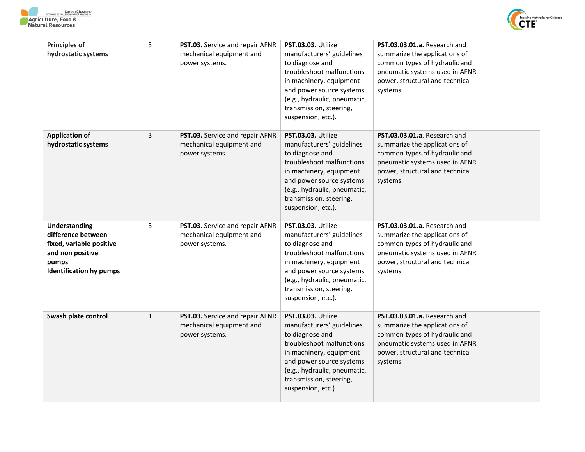



| <b>Principles of</b><br>hydrostatic systems                                                                                    | 3            | PST.03. Service and repair AFNR<br>mechanical equipment and<br>power systems. | PST.03.03. Utilize<br>manufacturers' guidelines<br>to diagnose and<br>troubleshoot malfunctions<br>in machinery, equipment<br>and power source systems<br>(e.g., hydraulic, pneumatic,<br>transmission, steering,<br>suspension, etc.). | PST.03.03.01.a. Research and<br>summarize the applications of<br>common types of hydraulic and<br>pneumatic systems used in AFNR<br>power, structural and technical<br>systems. |  |
|--------------------------------------------------------------------------------------------------------------------------------|--------------|-------------------------------------------------------------------------------|-----------------------------------------------------------------------------------------------------------------------------------------------------------------------------------------------------------------------------------------|---------------------------------------------------------------------------------------------------------------------------------------------------------------------------------|--|
| <b>Application of</b><br>hydrostatic systems                                                                                   | 3            | PST.03. Service and repair AFNR<br>mechanical equipment and<br>power systems. | PST.03.03. Utilize<br>manufacturers' guidelines<br>to diagnose and<br>troubleshoot malfunctions<br>in machinery, equipment<br>and power source systems<br>(e.g., hydraulic, pneumatic,<br>transmission, steering,<br>suspension, etc.). | PST.03.03.01.a. Research and<br>summarize the applications of<br>common types of hydraulic and<br>pneumatic systems used in AFNR<br>power, structural and technical<br>systems. |  |
| Understanding<br>difference between<br>fixed, variable positive<br>and non positive<br>pumps<br><b>Identification hy pumps</b> | 3            | PST.03. Service and repair AFNR<br>mechanical equipment and<br>power systems. | PST.03.03. Utilize<br>manufacturers' guidelines<br>to diagnose and<br>troubleshoot malfunctions<br>in machinery, equipment<br>and power source systems<br>(e.g., hydraulic, pneumatic,<br>transmission, steering,<br>suspension, etc.). | PST.03.03.01.a. Research and<br>summarize the applications of<br>common types of hydraulic and<br>pneumatic systems used in AFNR<br>power, structural and technical<br>systems. |  |
| Swash plate control                                                                                                            | $\mathbf{1}$ | PST.03. Service and repair AFNR<br>mechanical equipment and<br>power systems. | PST.03.03. Utilize<br>manufacturers' guidelines<br>to diagnose and<br>troubleshoot malfunctions<br>in machinery, equipment<br>and power source systems<br>(e.g., hydraulic, pneumatic,<br>transmission, steering,<br>suspension, etc.)  | PST.03.03.01.a. Research and<br>summarize the applications of<br>common types of hydraulic and<br>pneumatic systems used in AFNR<br>power, structural and technical<br>systems. |  |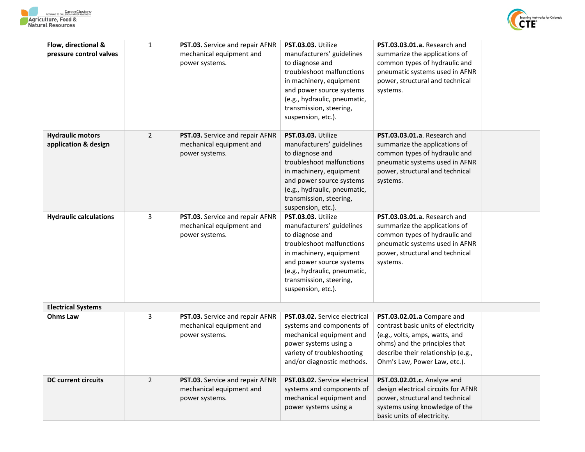



| Flow, directional &<br>pressure control valves  | $\mathbf{1}$   | <b>PST.03.</b> Service and repair AFNR<br>mechanical equipment and<br>power systems. | PST.03.03. Utilize<br>manufacturers' guidelines<br>to diagnose and<br>troubleshoot malfunctions<br>in machinery, equipment<br>and power source systems<br>(e.g., hydraulic, pneumatic,<br>transmission, steering,<br>suspension, etc.). | PST.03.03.01.a. Research and<br>summarize the applications of<br>common types of hydraulic and<br>pneumatic systems used in AFNR<br>power, structural and technical<br>systems.                            |  |
|-------------------------------------------------|----------------|--------------------------------------------------------------------------------------|-----------------------------------------------------------------------------------------------------------------------------------------------------------------------------------------------------------------------------------------|------------------------------------------------------------------------------------------------------------------------------------------------------------------------------------------------------------|--|
| <b>Hydraulic motors</b><br>application & design | $\overline{2}$ | PST.03. Service and repair AFNR<br>mechanical equipment and<br>power systems.        | PST.03.03. Utilize<br>manufacturers' guidelines<br>to diagnose and<br>troubleshoot malfunctions<br>in machinery, equipment<br>and power source systems<br>(e.g., hydraulic, pneumatic,<br>transmission, steering,<br>suspension, etc.). | PST.03.03.01.a. Research and<br>summarize the applications of<br>common types of hydraulic and<br>pneumatic systems used in AFNR<br>power, structural and technical<br>systems.                            |  |
| <b>Hydraulic calculations</b>                   | 3              | PST.03. Service and repair AFNR<br>mechanical equipment and<br>power systems.        | PST.03.03. Utilize<br>manufacturers' guidelines<br>to diagnose and<br>troubleshoot malfunctions<br>in machinery, equipment<br>and power source systems<br>(e.g., hydraulic, pneumatic,<br>transmission, steering,<br>suspension, etc.). | PST.03.03.01.a. Research and<br>summarize the applications of<br>common types of hydraulic and<br>pneumatic systems used in AFNR<br>power, structural and technical<br>systems.                            |  |
| <b>Electrical Systems</b>                       |                |                                                                                      |                                                                                                                                                                                                                                         |                                                                                                                                                                                                            |  |
| <b>Ohms Law</b>                                 | 3              | PST.03. Service and repair AFNR<br>mechanical equipment and<br>power systems.        | <b>PST.03.02.</b> Service electrical<br>systems and components of<br>mechanical equipment and<br>power systems using a<br>variety of troubleshooting<br>and/or diagnostic methods.                                                      | PST.03.02.01.a Compare and<br>contrast basic units of electricity<br>(e.g., volts, amps, watts, and<br>ohms) and the principles that<br>describe their relationship (e.g.,<br>Ohm's Law, Power Law, etc.). |  |
| <b>DC</b> current circuits                      | $\overline{2}$ | PST.03. Service and repair AFNR<br>mechanical equipment and<br>power systems.        | PST.03.02. Service electrical<br>systems and components of<br>mechanical equipment and<br>power systems using a                                                                                                                         | PST.03.02.01.c. Analyze and<br>design electrical circuits for AFNR<br>power, structural and technical<br>systems using knowledge of the<br>basic units of electricity.                                     |  |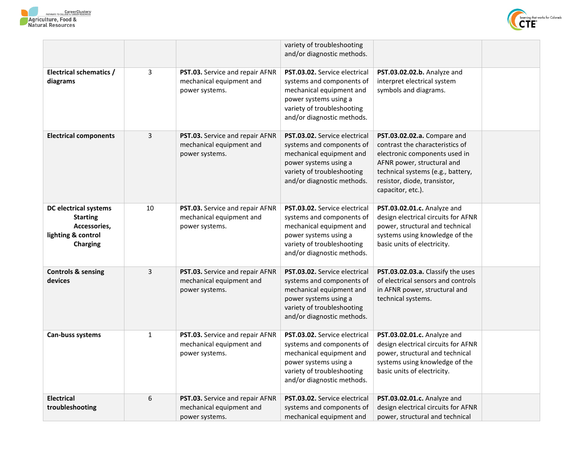



|                                                                                                          |              |                                                                               | variety of troubleshooting<br>and/or diagnostic methods.                                                                                                                    |                                                                                                                                                                                                                         |  |
|----------------------------------------------------------------------------------------------------------|--------------|-------------------------------------------------------------------------------|-----------------------------------------------------------------------------------------------------------------------------------------------------------------------------|-------------------------------------------------------------------------------------------------------------------------------------------------------------------------------------------------------------------------|--|
| Electrical schematics /<br>diagrams                                                                      | 3            | PST.03. Service and repair AFNR<br>mechanical equipment and<br>power systems. | PST.03.02. Service electrical<br>systems and components of<br>mechanical equipment and<br>power systems using a<br>variety of troubleshooting<br>and/or diagnostic methods. | PST.03.02.02.b. Analyze and<br>interpret electrical system<br>symbols and diagrams.                                                                                                                                     |  |
| <b>Electrical components</b>                                                                             | 3            | PST.03. Service and repair AFNR<br>mechanical equipment and<br>power systems. | PST.03.02. Service electrical<br>systems and components of<br>mechanical equipment and<br>power systems using a<br>variety of troubleshooting<br>and/or diagnostic methods. | PST.03.02.02.a. Compare and<br>contrast the characteristics of<br>electronic components used in<br>AFNR power, structural and<br>technical systems (e.g., battery,<br>resistor, diode, transistor,<br>capacitor, etc.). |  |
| <b>DC electrical systems</b><br><b>Starting</b><br>Accessories,<br>lighting & control<br><b>Charging</b> | 10           | PST.03. Service and repair AFNR<br>mechanical equipment and<br>power systems. | PST.03.02. Service electrical<br>systems and components of<br>mechanical equipment and<br>power systems using a<br>variety of troubleshooting<br>and/or diagnostic methods. | PST.03.02.01.c. Analyze and<br>design electrical circuits for AFNR<br>power, structural and technical<br>systems using knowledge of the<br>basic units of electricity.                                                  |  |
| <b>Controls &amp; sensing</b><br>devices                                                                 | 3            | PST.03. Service and repair AFNR<br>mechanical equipment and<br>power systems. | PST.03.02. Service electrical<br>systems and components of<br>mechanical equipment and<br>power systems using a<br>variety of troubleshooting<br>and/or diagnostic methods. | PST.03.02.03.a. Classify the uses<br>of electrical sensors and controls<br>in AFNR power, structural and<br>technical systems.                                                                                          |  |
| Can-buss systems                                                                                         | $\mathbf{1}$ | PST.03. Service and repair AFNR<br>mechanical equipment and<br>power systems. | PST.03.02. Service electrical<br>systems and components of<br>mechanical equipment and<br>power systems using a<br>variety of troubleshooting<br>and/or diagnostic methods. | PST.03.02.01.c. Analyze and<br>design electrical circuits for AFNR<br>power, structural and technical<br>systems using knowledge of the<br>basic units of electricity.                                                  |  |
| <b>Electrical</b><br>troubleshooting                                                                     | 6            | PST.03. Service and repair AFNR<br>mechanical equipment and<br>power systems. | PST.03.02. Service electrical<br>systems and components of<br>mechanical equipment and                                                                                      | PST.03.02.01.c. Analyze and<br>design electrical circuits for AFNR<br>power, structural and technical                                                                                                                   |  |